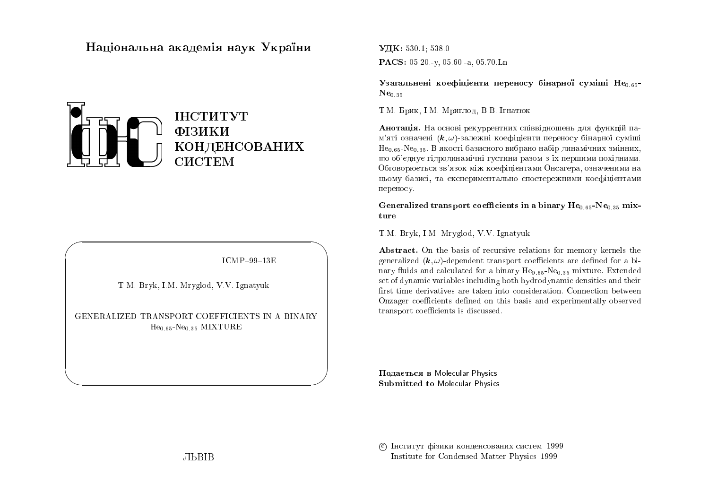# Національна академія наук України



 $ICMP-99-13E$ 

T.M. Bryk, I.M. Mryglod, V.V. Ignatyuk

GENERALIZED TRANSPORT COEFFICIENTS IN A BINARY  $He_{0.65}$ -Ne<sub>0.35</sub> MIXTURE

УДК: 530.1: 538.0 **PACS:**  $05.20 - v$ ,  $05.60 - a$ ,  $05.70$  Ln

Узагальнені коефіцієнти переносу бінарної суміші Необъ- $Ne_{0.35}$ 

Т.М. Брик, І.М. Мриглод, В.В. Ігнатюк

Анотація. На основі рекуррентних співвідношень для функцій пам'яті означені  $(k, \omega)$ -залежні коефіцієнти переносу бінарної суміші  $He<sub>0.65</sub>$ -Ne<sub>0.35</sub>. В якості базисного вибрано набір динамічних змінних, шо об'єднує гідродинамічні густини разом з їх першими похідними. Обговорюється зв'язок між коефіцієнтами Онсагера, означеними на цьому базисі, та експериментально спостережними коефіцієнтами переносу.

Generalized transport coefficients in a binary  $He_{0.65}$ -Ne $_{0.35}$  mixture

T.M. Bryk, I.M. Mryglod, V.V. Ignatyuk

Abstract. On the basis of recursive relations for memory kernels the generalized  $(k, \omega)$ -dependent transport coefficients are defined for a binary fluids and calculated for a binary  $He_{0.65}$ -Ne<sub>0.35</sub> mixture. Extended set of dynamic variables including both hydrodynamic densities and their first time derivatives are taken into consideration. Connection between Onzager coefficients defined on this basis and experimentally observed transport coefficients is discussed.

Подається в Molecular Physics **Submitted to Molecular Physics** 

С Інститут фізики конденсованих систем 1999 Institute for Condensed Matter Physics 1999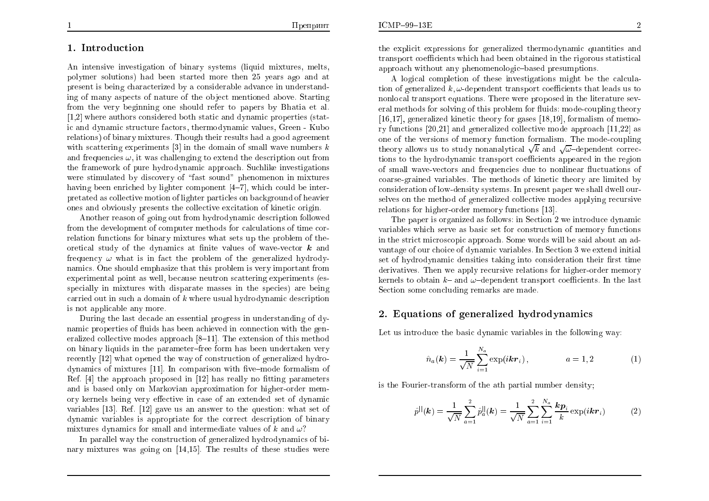## 1. Introduction

An intensive investigation of binary systems (liquid mixtures, melts, polymer solutions) had been started more then 25 years ago and at present is being characterized by a considerable advance in understanding of many aspects of nature of the object mentioned above. Starting from the very beginning one should refer to papers by Bhatia et al. [1,2] where authors considered both static and dynamic properties (static and dynamic structure factors, thermodynamic values, Green - Kubo relations) of binary mixtures. Though their results had a good agreement with scattering experiments [3] in the domain of small wave numbers  $k$ and frequencies  $\omega$ , it was challenging to extend the description out from the framework of pure hydrodynamic approach. Such like investigations were stimulated by discovery of "fast sound" phenomenon in mixtures having been enriched by lighter component  $[4-7]$ , which could be interpretated as collective motion of lighter particles on background of heavier ones and obviously presents the collective excitation of kinetic origin.

Another reason of going out from hydrodynamic description followed from the development of computer methods for calculations of time correlation functions for binary mixtures what sets up the problem of theoretical study of the dynamics at finite values of wave-vector  $\boldsymbol{k}$  and frequency  $\omega$  what is in fact the problem of the generalized hydrodynamics. One should emphasize that this problem is very important from experimental point as well, because neutron scattering experiments (esspecially in mixtures with disparate masses in the species) are being carried out in such a domain of  $k$  where usual hydrodynamic description is not applicable any more.

During the last decade an essential progress in understanding of dynamic properties of fluids has been achieved in connection with the generalized collective modes approach [8–11]. The extension of this method on binary liquids in the parameter-free form has been undertaken very recently [12] what opened the way of construction of generalized hydrodynamics of mixtures  $[11]$ . In comparison with five-mode formalism of Ref.  $[4]$  the approach proposed in  $[12]$  has really no fitting parameters and is based only on Markovian approximation for higher-order memory kernels being very effective in case of an extended set of dynamic variables [13]. Ref. [12] gave us an answer to the question: what set of dynamic variables is appropriate for the correct description of binary mixtures dynamics for small and intermediate values of k and  $\omega$ ?

In parallel way the construction of generalized hydrodynamics of binary mixtures was going on  $[14,15]$ . The results of these studies were

the explicit expressions for generalized thermodynamic quantities and transport coefficients which had been obtained in the rigorous statistical approach without any phenomenologic-based presumptions.

A logical completion of these investigations might be the calculation of generalized  $k, \omega$ -dependent transport coefficients that leads us to nonlocal transport equations. There were proposed in the literature several methods for solving of this problem for fluids; mode-coupling theory  $[16,17]$ , generalized kinetic theory for gases  $[18,19]$ , formalism of memory functions  $[20,21]$  and generalized collective mode approach  $[11,22]$  as one of the versions of memory function formalism. The mode-coupling theory allows us to study nonanalytical  $\sqrt{k}$  and  $\sqrt{\omega}$ -dependent corrections to the hydrodynamic transport coefficients appeared in the region of small wave-vectors and frequencies due to nonlinear fluctuations of coarse-grained variables. The methods of kinetic theory are limited by consideration of low-density systems. In present paper we shall dwell ourselves on the method of generalized collective modes applying recursive relations for higher-order memory functions [13].

The paper is organized as follows: in Section 2 we introduce dynamic variables which serve as basic set for construction of memory functions in the strict microscopic approach. Some words will be said about an advantage of our choice of dynamic variables. In Section 3 we extend initial set of hydrodynamic densities taking into consideration their first time derivatives. Then we apply recursive relations for higher-order memory kernels to obtain  $k$ - and  $\omega$ -dependent transport coefficients. In the last Section some concluding remarks are made.

#### 2. Equations of generalized hydrodynamics

Let us introduce the basic dynamic variables in the following way:

$$
\hat{n}_a(\mathbf{k}) = \frac{1}{\sqrt{N}} \sum_{i=1}^{N_a} \exp(i \mathbf{k} \mathbf{r}_i), \qquad a = 1, 2 \qquad (1)
$$

is the Fourier-transform of the ath partial number density;

$$
\hat{p}^{||}(\mathbf{k}) = \frac{1}{\sqrt{N}} \sum_{a=1}^{2} \hat{p}_a^{||}(\mathbf{k}) = \frac{1}{\sqrt{N}} \sum_{a=1}^{2} \sum_{i=1}^{N_a} \frac{k \mathbf{p}_i}{k} \exp(i \mathbf{k} \mathbf{r}_i)
$$
(2)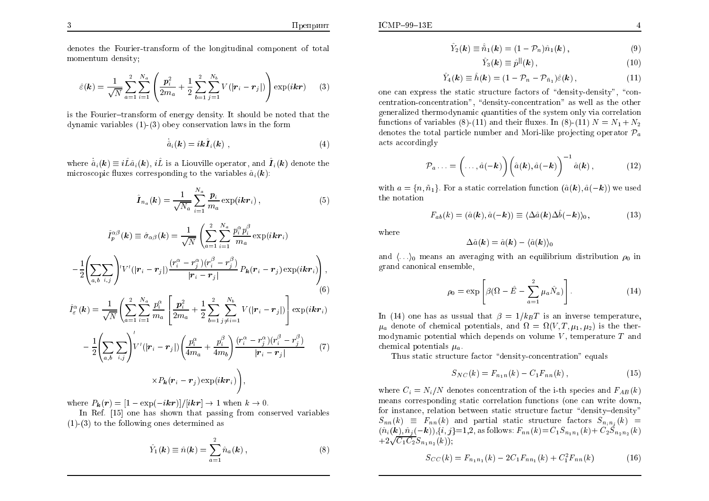denotes the Fourier-transform of the longitudinal component of total momentum density;

$$
\hat{\varepsilon}(\mathbf{k}) = \frac{1}{\sqrt{N}} \sum_{a=1}^{2} \sum_{i=1}^{N_a} \left( \frac{\mathbf{p}_i^2}{2m_a} + \frac{1}{2} \sum_{b=1}^{2} \sum_{j=1}^{N_b} V(|\mathbf{r}_i - \mathbf{r}_j|) \right) \exp(i\mathbf{k}\mathbf{r}) \tag{3}
$$

is the Fourier-transform of energy density. It should be noted that the dynamic variables  $(1)$ - $(3)$  obey conservation laws in the form

**Contract Contract** 

$$
\hat{a}_i(\mathbf{k}) = i\mathbf{k}\hat{\boldsymbol{I}}_i(\mathbf{k}) \tag{4}
$$

where  $\dot{\hat{a}}_i(\mathbf{k}) \equiv i \hat{L} \hat{a}_i(\mathbf{k})$ ,  $i \hat{L}$  is a Liouville operator, and  $\hat{\mathbf{I}}_i(\mathbf{k})$  denote the microscopic fluxes corresponding to the variables  $\hat{a}_i(\mathbf{k})$ :

$$
\hat{\boldsymbol{I}}_{n_a}(\boldsymbol{k}) = \frac{1}{\sqrt{N_a}} \sum_{i=1}^{N_a} \frac{\boldsymbol{p}_i}{m_a} \exp(i\boldsymbol{k}\boldsymbol{r}_i), \qquad (5)
$$

$$
\hat{I}_{p}^{\alpha\beta}(\boldsymbol{k}) \equiv \hat{\sigma}_{\alpha\beta}(\boldsymbol{k}) = \frac{1}{\sqrt{N}} \left( \sum_{a=1}^{2} \sum_{i=1}^{N_{a}} \frac{p_{i}^{\alpha} p_{i}^{\beta}}{m_{a}} \exp(i \boldsymbol{k} \boldsymbol{r}_{i}) - \frac{1}{2} \left( \sum_{a,b} \sum_{i,j} \right)^{i} V^{i}(|\boldsymbol{r}_{i} - \boldsymbol{r}_{j}|) \frac{(r_{i}^{\alpha} - r_{j}^{\alpha})(r_{i}^{\beta} - r_{j}^{\beta})}{|\boldsymbol{r}_{i} - \boldsymbol{r}_{j}|} P_{k}(\boldsymbol{r}_{i} - \boldsymbol{r}_{j}) \exp(i \boldsymbol{k} \boldsymbol{r}_{i}) \right),
$$
\n
$$
\hat{I}_{\varepsilon}^{\alpha}(\boldsymbol{k}) = \frac{1}{\sqrt{N}} \left( \sum_{a=1}^{2} \sum_{i=1}^{N_{a}} \frac{p_{i}^{\alpha}}{m_{a}} \left[ \frac{p_{i}^{2}}{2m_{a}} + \frac{1}{2} \sum_{b=1}^{2} \sum_{j \neq i=1}^{N_{b}} V(|\boldsymbol{r}_{i} - \boldsymbol{r}_{j}|) \right] \exp(i \boldsymbol{k} \boldsymbol{r}_{i}) - \frac{1}{2} \left( \sum_{a,b} \sum_{i,j} \int V^{i}(|\boldsymbol{r}_{i} - \boldsymbol{r}_{j}|) \left( \frac{p_{i}^{\alpha}}{4m_{a}} + \frac{p_{i}^{\beta}}{4m_{b}} \right) \frac{(r_{i}^{\alpha} - r_{j}^{\alpha})(r_{i}^{\beta} - r_{j}^{\beta})}{|\boldsymbol{r}_{i} - \boldsymbol{r}_{j}|} \right) \times P_{k}(\boldsymbol{r}_{i} - \boldsymbol{r}_{j}) \exp(i \boldsymbol{k} \boldsymbol{r}_{i}) \right),
$$
\n(7)

where  $P_k(r) = \frac{1 - \exp(-ikr)}{i k r} \rightarrow 1$  when  $k \rightarrow 0$ 

In Ref. [15] one has shown that passing from conserved variables  $(1)-(3)$  to the following ones determined as

$$
\hat{Y}_1(\mathbf{k}) \equiv \hat{n}(\mathbf{k}) = \sum_{a=1}^2 \hat{n}_a(\mathbf{k}), \qquad (8)
$$

$$
\hat{Y}_2(\mathbf{k}) \equiv \hat{\tilde{n}}_1(\mathbf{k}) = (1 - \mathcal{P}_n)\hat{n}_1(\mathbf{k}), \qquad (9)
$$

$$
\hat{Y}_3(\mathbf{k}) \equiv \hat{p}^{||}(\mathbf{k}), \qquad (10)
$$

$$
\hat{Y}_4(\mathbf{k}) \equiv \hat{h}(\mathbf{k}) = (1 - \mathcal{P}_n - \mathcal{P}_{\bar{n}_1})\hat{\varepsilon}(\mathbf{k}), \qquad (11)
$$

one can express the static structure factors of "density-density", "concentration-concentration", "density-concentration" as well as the other generalized thermodynamic quantities of the system only via correlation functions of variables (8)-(11) and their fluxes. In (8)-(11)  $N = N_1 + N_2$ denotes the total particle number and Mori-like projecting operator  $\mathcal{P}_{a}$ acts accordingly

$$
\mathcal{P}_a \ldots = \left(\ldots, \hat{a}(-\mathbf{k})\right) \left(\hat{a}(\mathbf{k}), \hat{a}(-\mathbf{k})\right)^{-1} \hat{a}(\mathbf{k}), \tag{12}
$$

with  $a = \{n, \tilde{n}_1\}$ . For a static correlation function  $(\hat{a}(\mathbf{k}), \hat{a}(-\mathbf{k}))$  we used the notation

$$
F_{ab}(k) = (\hat{a}(\mathbf{k}), \hat{a}(-\mathbf{k})) \equiv \langle \Delta \hat{a}(\mathbf{k}) \Delta \hat{b}(-\mathbf{k}) \rangle_0, \tag{13}
$$

where

$$
\Delta \hat{a}(\mathbf{k}) = \hat{a}(\mathbf{k}) - \langle \hat{a}(\mathbf{k}) \rangle_0
$$

and  $\langle \ldots \rangle_0$  means an averaging with an equilibrium distribution  $\rho_0$  in grand canonical ensemble,

$$
\rho_0 = \exp\left[\beta(\Omega - \hat{E} - \sum_{a=1}^2 \mu_a \hat{N}_a)\right].
$$
\n(14)

In (14) one has as ussual that  $\beta = 1/k_B T$  is an inverse temperature.  $\mu_a$  denote of chemical potentials, and  $\Omega = \Omega(V, T, \mu_1, \mu_2)$  is the thermodynamic potential which depends on volume  $V$ , temperature  $T$  and chemical potentials  $\mu_a$ .

Thus static structure factor "density-concentration" equals

$$
S_{NC}(k) = F_{n_1n}(k) - C_1 F_{nn}(k) , \qquad (15)
$$

where  $C_i = N_i/N$  denotes concentration of the i-th species and  $F_{AB}(k)$ means corresponding static correlation functions (one can write down, for instance, relation between static structure factur "density-density"  $S_{nn}(k) \equiv F_{nn}(k)$  and partial static structure factors  $S_{n_i n_i}(k)$  =  $(\hat{n}_i(\mathbf{k}), \hat{n}_j(-\mathbf{k})), \{i, j\} = 1, 2$ , as follows:  $F_{nn}(k) = C_1 S_{n_1 n_1}(k) + C_2 S_{n_2 n_2}(k)$  $+2\sqrt{C_1C_2}S_{n_1n_2}(k)$ 

$$
S_{CC}(k) = F_{n_1 n_1}(k) - 2C_1 F_{n n_1}(k) + C_1^2 F_{n n}(k) \tag{16}
$$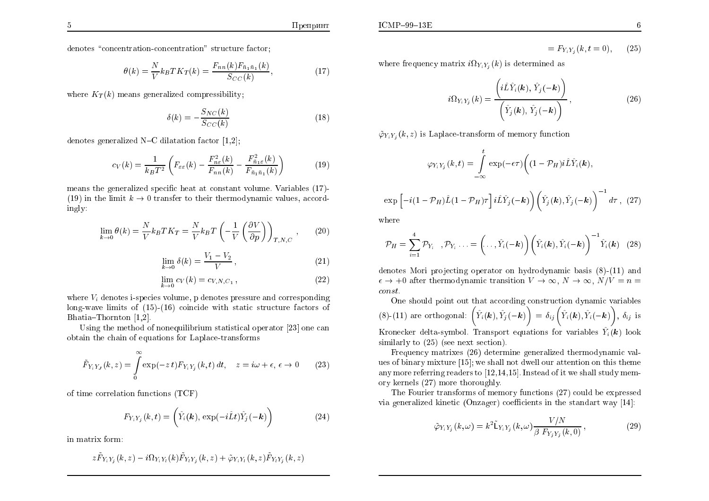$$
\theta(k) = \frac{N}{V} k_B T K_T(k) = \frac{F_{nn}(k) F_{\bar{n}_1 \bar{n}_1}(k)}{S_{CC}(k)},
$$
\n(17)

where  $K_T(k)$  means generalized compressibility;

$$
\delta(k) = -\frac{S_{NC}(k)}{S_{CC}(k)}\tag{18}
$$

denotes generalized N-C dilatation factor  $[1,2]$ ;

$$
c_V(k) = \frac{1}{k_B T^2} \left( F_{\varepsilon \varepsilon}(k) - \frac{F_{n\varepsilon}^2(k)}{F_{nn}(k)} - \frac{F_{\tilde{n}_1 \varepsilon}^2(k)}{F_{\tilde{n}_1 \tilde{n}_1}(k)} \right)
$$
(19)

means the generalized specific heat at constant volume. Variables (17)-(19) in the limit  $k \to 0$  transfer to their thermodynamic values, accord $ingly:$ 

$$
\lim_{k \to 0} \theta(k) = \frac{N}{V} k_B T K_T = \frac{N}{V} k_B T \left( -\frac{1}{V} \left( \frac{\partial V}{\partial p} \right) \right)_{T, N, C}, \quad (20)
$$

$$
\lim_{k \to 0} \delta(k) = \frac{V_1 - V_2}{V},
$$
\n(21)

$$
\lim_{k \to 0} c_V(k) = c_{V,N,C_1},\tag{22}
$$

where  $V_i$  denotes i-species volume, p denotes pressure and corresponding long-wave limits of  $(15)-(16)$  coincide with static structure factors of Bhatia–Thornton  $[1,2]$ .

Using the method of nonequilibrium statistical operator [23] one can obtain the chain of equations for Laplace-transforms

$$
\tilde{F}_{Y_iY_J}(k,z) = \int_{0}^{\infty} \exp(-zt) F_{Y_iY_j}(k,t) dt, \quad z = i\omega + \epsilon, \epsilon \to 0 \quad (23)
$$

of time correlation functions  $(TCF)$ 

$$
F_{Y_i Y_j}(k, t) = \left(\hat{Y}_i(k), \exp(-i\hat{L}t)\hat{Y}_j(-k)\right)
$$
\n(24)

in matrix form:

$$
z\tilde{F}_{Y_iY_j}(k,z)-i\Omega_{Y_iY_l}(k)\tilde{F}_{Y_lY_j}(k,z)+\tilde{\varphi}_{Y_iY_l}(k,z)\tilde{F}_{Y_lY_j}(k,z)
$$

 $= F_{V \cdot V}$   $(k, t = 0)$ ,  $(25)$ 

where frequency matrix  $i\Omega_{Y_iY_i}(k)$  is determined as

$$
i\Omega_{Y_i Y_j}(k) = \frac{\left(i\hat{L}\hat{Y}_i(k), \hat{Y}_j(-k)\right)}{\left(\hat{Y}_j(k), \hat{Y}_j(-k)\right)},
$$
\n(26)

 $\tilde{\varphi}_{Y_i Y_i}(k, z)$  is Laplace-transform of memory function

$$
\varphi_{Y_i Y_j}(k,t) = \int_{-\infty}^t \exp(-\epsilon \tau) \left( (1 - \mathcal{P}_H) i \hat{L} \hat{Y}_i(k), \right.
$$

$$
\exp\left[-i(1-\mathcal{P}_H)\hat{L}(1-\mathcal{P}_H)\tau\right]i\hat{L}\hat{Y}_j(-\boldsymbol{k})\bigg)\bigg(\hat{Y}_j(\boldsymbol{k}),\hat{Y}_j(-\boldsymbol{k})\bigg)^{-1}d\tau\,,\tag{27}
$$

where

$$
\mathcal{P}_H = \sum_{i=1}^4 \mathcal{P}_{Y_i} , \mathcal{P}_{Y_i} \dots = \left( \dots, \hat{Y}_i(-\mathbf{k}) \right) \left( \hat{Y}_i(\mathbf{k}), \hat{Y}_i(-\mathbf{k}) \right)^{-1} \hat{Y}_i(\mathbf{k}) \quad (28)
$$

denotes Mori projecting operator on hydrodynamic basis  $(8)-(11)$  and  $\epsilon \to +0$  after thermodynamic transition  $V \to \infty$ ,  $N \to \infty$ ,  $N/V = n =$  $const.$ 

One should point out that according construction dynamic variables (8)-(11) are orthogonal:  $(\hat{Y}_i(\mathbf{k}), \hat{Y}_j(-\mathbf{k})\) = \delta_{ij}(\hat{Y}_i(\mathbf{k}), \hat{Y}_i(-\mathbf{k})\), \delta_{ij}$  is Kronecker delta-symbol. Transport equations for variables  $\hat{Y}_i(k)$  look similarly to  $(25)$  (see next section).

Frequency matrixes (26) determine generalized thermodynamic values of binary mixture [15]; we shall not dwell our attention on this theme any more referring readers to  $[12,14,15]$ . Instead of it we shall study memory kernels (27) more thoroughly.

The Fourier transforms of memory functions (27) could be expressed via generalized kinetic (Onzager) coefficients in the standart way  $[14]$ :

$$
\tilde{\varphi}_{Y_i Y_j}(k,\omega) = k^2 \tilde{\mathsf{L}}_{Y_i Y_j}(k,\omega) \frac{V/N}{\beta F_{Y_j Y_j}(k,0)},\tag{29}
$$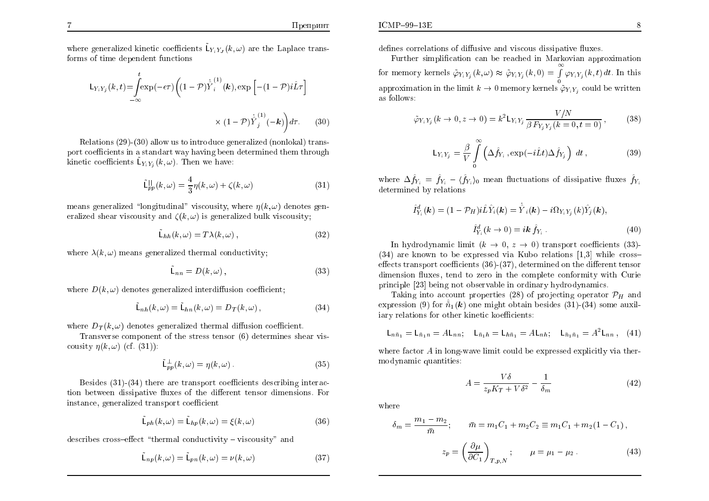where generalized kinetic coefficients  $\tilde{L}_{Y,Y}$ ,  $(k,\omega)$  are the Laplace transforms of time dependent functions

$$
\mathsf{L}_{Y_i Y_j}(k, t) = \int_{-\infty}^{t} \exp(-\epsilon \tau) \left( (1 - \mathcal{P}) \dot{\hat{Y}}_i^{(1)}(k), \exp\left[ -(1 - \mathcal{P}) i \hat{L} \tau \right] \right)
$$

$$
\times (1 - \mathcal{P}) \dot{\hat{Y}}_j^{(1)}(-k) \right) d\tau. \tag{30}
$$

Relations (29)-(30) allow us to introduce generalized (nonlokal) transport coefficients in a standart way having been determined them through kinetic coefficients  $\tilde{L}_{Y_i Y_i}(k,\omega)$ . Then we have:

$$
\tilde{\mathsf{L}}_{pp}^{\parallel}(k,\omega) = \frac{4}{3}\eta(k,\omega) + \zeta(k,\omega)
$$
\n(31)

means generalized "longitudinal" viscousity, where  $\eta(k,\omega)$  denotes generalized shear viscousity and  $\zeta(k,\omega)$  is generalized bulk viscousity:

$$
\mathcal{L}_{hh}(k,\omega) = T\lambda(k,\omega),\tag{32}
$$

where  $\lambda(k,\omega)$  means generalized thermal conductivity:

$$
\mathsf{L}_{nn} = D(k,\omega) \,, \tag{33}
$$

where  $D(k,\omega)$  denotes generalized interdiffusion coefficient.

$$
\tilde{\mathsf{L}}_{nh}(k,\omega) = \tilde{\mathsf{L}}_{hn}(k,\omega) = D_T(k,\omega),\tag{34}
$$

where  $D_T(k,\omega)$  denotes generalized thermal diffusion coefficient.

Transverse component of the stress tensor (6) determines shear viscousity  $\eta(k,\omega)$  (cf. (31)):

$$
\tilde{\mathsf{L}}_{pp}^{\perp}(k,\omega) = \eta(k,\omega). \tag{35}
$$

Besides  $(31)-(34)$  there are transport coefficients describing interaction between dissipative fluxes of the different tensor dimensions. For instance, generalized transport coefficient

$$
\tilde{\mathsf{L}}_{ph}(k,\omega) = \tilde{\mathsf{L}}_{hp}(k,\omega) = \xi(k,\omega) \tag{36}
$$

describes cross-effect "thermal conductivity – viscousity" and

$$
\tilde{\mathsf{L}}_{np}(k,\omega) = \tilde{\mathsf{L}}_{pn}(k,\omega) = \nu(k,\omega) \tag{37}
$$

defines correlations of diffusive and viscous dissipative fluxes.

Further simplification can be reached in Markovian approximation for memory kernels  $\tilde{\varphi}_{Y_i Y_j}(k,\omega) \approx \tilde{\varphi}_{Y_i Y_j}(k,0) = \int_{0}^{\infty} \varphi_{Y_i Y_j}(k,t) dt$ . In this approximation in the limit  $k \to 0$  memory kernels  $\tilde{\varphi}_{Y_i Y_i}$  could be written as follows:

$$
\tilde{\varphi}_{Y_i Y_j}(k \to 0, z \to 0) = k^2 \mathsf{L}_{Y_i Y_j} \frac{V/N}{\beta F_{Y_j Y_j}(k = 0, t = 0)},\tag{38}
$$

$$
\mathsf{L}_{Y_i Y_j} = \frac{\beta}{V} \int\limits_0^\infty \left( \Delta \hat{f}_{Y_i}, \exp(-i\hat{L}t) \Delta \hat{f}_{Y_j} \right) dt, \tag{39}
$$

where  $\Delta \hat{f}_{Y_i} = \hat{f}_{Y_i} - \langle \hat{f}_{Y_i} \rangle_0$  mean fluctuations of dissipative fluxes  $\hat{f}_{Y_i}$ determined by relations

$$
\hat{I}_{Y_i}^d(\mathbf{k}) = (1 - \mathcal{P}_H) i \hat{L} \hat{Y}_i(\mathbf{k}) = \hat{Y}_i(\mathbf{k}) - i \Omega_{Y_i Y_j}(k) \hat{Y}_j(\mathbf{k}),
$$
  

$$
\hat{I}_{Y_i}^d(\mathbf{k} \to 0) = i \mathbf{k} \hat{f}_{Y_i}.
$$
 (40)

In hydrodynamic limit  $(k \to 0, z \to 0)$  transport coefficients (33)- $(34)$  are known to be expressed via Kubo relations [1,3] while crosseffects transport coefficients  $(36)$ - $(37)$ , determined on the different tensor dimension fluxes, tend to zero in the complete conformity with Curie principle [23] being not observable in ordinary hydrodynamics.

Taking into account properties (28) of projecting operator  $\mathcal{P}_H$  and expression (9) for  $\tilde{n}_1(\mathbf{k})$  one might obtain besides (31)-(34) some auxiliary relations for other kinetic koefficients:

$$
L_{n\bar{n}_1} = L_{\bar{n}_1 n} = A L_{nn}; \quad L_{\bar{n}_1 n} = L_{h\bar{n}_1} = A L_{n h}; \quad L_{\bar{n}_1 \bar{n}_1} = A^2 L_{nn} , \quad (41)
$$

where factor  $A$  in long-wave limit could be expressed explicitly via thermodynamic quantities:

$$
A = \frac{V\delta}{z_p K_T + V\delta^2} - \frac{1}{\delta_m} \tag{42}
$$

where

$$
\delta_m = \frac{m_1 - m_2}{\bar{m}}; \qquad \bar{m} = m_1 C_1 + m_2 C_2 \equiv m_1 C_1 + m_2 (1 - C_1),
$$

$$
z_p = \left(\frac{\partial \mu}{\partial C_1}\right)_{T, p, N}; \qquad \mu = \mu_1 - \mu_2.
$$
 (43)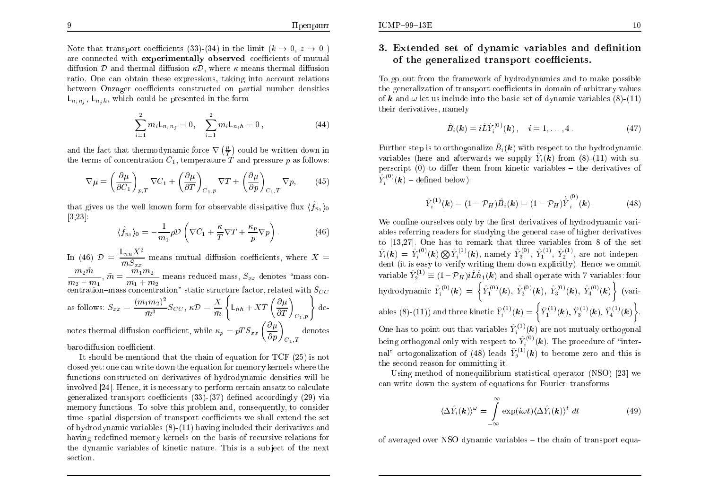Note that transport coefficients (33)-(34) in the limit  $(k \to 0, z \to 0)$ are connected with **experimentally observed** coefficients of mutual diffusion  $D$  and thermal diffusion  $\kappa D$ , where  $\kappa$  means thermal diffusion ratio. One can obtain these expressions, taking into account relations between Onzager coefficients constructed on partial number densities  $\mathsf{L}_{n_i n_j}$ ,  $\mathsf{L}_{n_i h}$ , which could be presented in the form

$$
\sum_{i=1}^{2} m_i L_{n_i n_j} = 0, \quad \sum_{i=1}^{2} m_i L_{n_i n} = 0,
$$
 (44)

and the fact that thermodynamic force  $\nabla \left(\frac{\mu}{T}\right)$  could be written down in the terms of concentration  $C_1$ , temperature T and pressure p as follows:

$$
\nabla \mu = \left(\frac{\partial \mu}{\partial C_1}\right)_{p,T} \nabla C_1 + \left(\frac{\partial \mu}{\partial T}\right)_{C_1,p} \nabla T + \left(\frac{\partial \mu}{\partial p}\right)_{C_1,T} \nabla p,\tag{45}
$$

that gives us the well known form for observable dissipative flux  $\langle \hat{f}_{n_1} \rangle_0$  $[3,23]$ :

$$
\langle \hat{f}_{n_1} \rangle_0 = -\frac{1}{m_1} \rho \mathcal{D} \left( \nabla C_1 + \frac{\kappa}{T} \nabla T + \frac{\kappa_p}{p} \nabla p \right). \tag{46}
$$

In (46)  $\mathcal{D} = \frac{\mathsf{L}_{nn} X^2}{\bar{m} S}$  means mutual diffusion coefficients, where X =  $\frac{m_2\tilde{m}}{m_2-m_1},\,\tilde{m}=\frac{m_1m_2}{m_1+m_2}$  means reduced mass,  $S_{xx}$  denotes "mass concentration–mass concentration" static structure factor, related with  $S_{CC}$ as follows:  $S_{xx} = \frac{(m_1 m_2)^2}{\bar{m}^3} S_{CC}, \kappa \mathcal{D} = \frac{X}{\bar{m}} \left\{ L_{nh} + XT \left( \frac{\partial \mu}{\partial T} \right)_{C_{x,n}} \right\}$  de-

notes thermal diffusion coefficient, while  $\kappa_p = pTS_{xx} \left(\frac{\partial \mu}{\partial p}\right)_{\alpha}$  denotes

barodiffusion coefficient.

It should be mentiond that the chain of equation for  $TCF(25)$  is not closed yet: one can write down the equation for memory kernels where the functions constructed on derivatives of hydrodynamic densities will be involved [24]. Hence, it is necessary to perform certain ansatz to calculate generalized transport coefficients  $(33)-(37)$  defined accordingly  $(29)$  via memory functions. To solve this problem and, consequently, to consider time-spatial dispersion of transport coefficients we shall extend the set of hydrodynamic variables  $(8)$ - $(11)$  having included their derivatives and having redefined memory kernels on the basis of recursive relations for the dynamic variables of kinetic nature. This is a subject of the next section.

## 3. Extended set of dynamic variables and definition of the generalized transport coefficients.

To go out from the framework of hydrodynamics and to make possible the generalization of transport coefficients in domain of arbitrary values of k and  $\omega$  let us include into the basic set of dynamic variables (8)-(11) their derivatives, namely

$$
\hat{B}_i(\mathbf{k}) = i\hat{L}\hat{Y}_i^{(0)}(\mathbf{k}), \quad i = 1, ..., 4.
$$
 (47)

Further step is to orthogonalize  $\hat{B}_i(\mathbf{k})$  with respect to the hydrodynamic variables (here and afterwards we supply  $\hat{Y}_i(k)$  from (8)-(11) with superscript  $(0)$  to differ them from kinetic variables – the derivatives of  $\hat{Y}^{(0)}(\mathbf{k})$  – defined below):

$$
\hat{Y}_i^{(1)}(\mathbf{k}) = (1 - \mathcal{P}_H) \hat{B}_i(\mathbf{k}) = (1 - \mathcal{P}_H) \dot{\hat{Y}}_i^{(0)}(\mathbf{k}). \tag{48}
$$

We confine ourselves only by the first derivatives of hydrodynamic variables referring readers for studying the general case of higher derivatives to [13,27]. One has to remark that three variables from  $8$  of the set  $\hat{Y}_i(k) = \hat{Y}_i^{(0)}(k) \otimes \hat{Y}_i^{(1)}(k)$ , namely  $\hat{Y}_3^{(0)}$ ,  $\hat{Y}_1^{(1)}$ ,  $\hat{Y}_2^{(1)}$ , are not independent (it is easy to verify writing them down explicitly). Hence we ommit variable  $\hat{Y}_2^{(1)} \equiv (1 - \mathcal{P}_H) i \hat{L} \hat{n}_1(\mathbf{k})$  and shall operate with 7 variables: four hydrodynamic  $\hat{Y}_i^{(0)}(\mathbf{k}) = \left\{ \hat{Y}_1^{(0)}(\mathbf{k}), \ \hat{Y}_2^{(0)}(\mathbf{k}), \ \hat{Y}_3^{(0)}(\mathbf{k}), \ \hat{Y}_4^{(0)}(\mathbf{k}) \right\}$  (variables (8)-(11)) and three kinetic  $\hat{Y}_i^{(1)}(\mathbf{k}) = \left\{ \hat{Y}_1^{(1)}(\mathbf{k}), \hat{Y}_3^{(1)}(\mathbf{k}), \hat{Y}_4^{(1)}(\mathbf{k}) \right\}$ . One has to point out that variables  $\hat{Y}_i^{(1)}(\mathbf{k})$  are not mutualy orthogonal being orthogonal only with respect to  $\hat{Y}_i^{(0)}(\mathbf{k})$ . The procedure of "internal" ortogonalization of (48) leads  $\hat{Y}_2^{(1)}(\mathbf{k})$  to become zero and this is the second reason for ommitting it.

Using method of nonequilibrium statistical operator (NSO) [23] we can write down the system of equations for Fourier-transforms

$$
\langle \Delta \hat{Y}_i(\mathbf{k}) \rangle^{\omega} = \int_{-\infty}^{\infty} \exp(i\omega t) \langle \Delta \hat{Y}_i(\mathbf{k}) \rangle^t dt \qquad (49)
$$

of averaged over NSO dynamic variables – the chain of transport equa-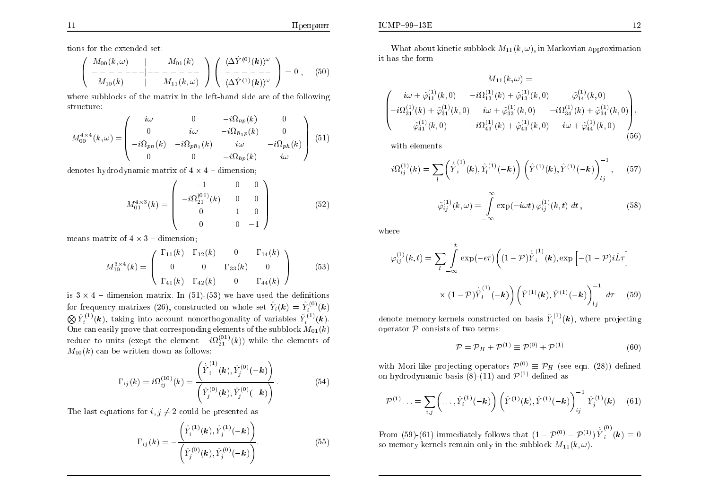tions for the extended set:

$$
\begin{pmatrix}\nM_{00}(k,\omega) \\
-\frac{\lambda}{M_{10}(k)}\n\end{pmatrix}\n\begin{pmatrix}\nM_{01}(k) \\
-\frac{\lambda}{M_{11}(k)}\n\end{pmatrix}\n\begin{pmatrix}\n\langle\Delta\hat{Y}^{(0)}(k)\rangle^{\omega} \\
-\frac{\lambda}{M_{11}(k)}\n\end{pmatrix} = 0 ,\n\tag{50}
$$

where subblocks of the matrix in the left-hand side are of the following structure:

$$
M_{00}^{4\times4}(k,\omega) = \begin{pmatrix} i\omega & 0 & -i\Omega_{np}(k) & 0\\ 0 & i\omega & -i\Omega_{\bar{n}_1p}(k) & 0\\ -i\Omega_{pn}(k) & -i\Omega_{p\bar{n}_1}(k) & i\omega & -i\Omega_{ph}(k)\\ 0 & 0 & -i\Omega_{hp}(k) & i\omega \end{pmatrix}
$$
(51)

denotes hydrodynamic matrix of  $4 \times 4$  – dimension;

$$
M_{01}^{4 \times 3}(k) = \begin{pmatrix} -1 & 0 & 0 \\ -i\Omega_{21}^{(01)}(k) & 0 & 0 \\ 0 & -1 & 0 \\ 0 & 0 & -1 \end{pmatrix}
$$
 (52)

means matrix of  $4 \times 3$  – dimension;

$$
M_{10}^{3\times4}(k) = \begin{pmatrix} \Gamma_{11}(k) & \Gamma_{12}(k) & 0 & \Gamma_{14}(k) \\ 0 & 0 & \Gamma_{33}(k) & 0 \\ \Gamma_{41}(k) & \Gamma_{42}(k) & 0 & \Gamma_{44}(k) \end{pmatrix}
$$
(53)

is  $3 \times 4$  – dimension matrix. In (51)-(53) we have used the definitions for frequency matrixes (26), constructed on whole set  $\hat{Y}_i(\mathbf{k}) = \hat{Y}_i^{(0)}(\mathbf{k})$ <br>  $\bigotimes \hat{Y}_i^{(1)}(\mathbf{k})$ , taking into account nonorthogonality of variables  $\hat{Y}_i^{(1)}(\mathbf{k})$ .<br>
One can easily prove that corresponding ele reduce to units (exept the element  $-i\Omega_{21}^{(01)}(k)$ ) while the elements of  $M_{10}(k)$  can be written down as follows:

$$
\Gamma_{ij}(k) = i\Omega_{ij}^{(10)}(k) = \frac{\left(\dot{\hat{Y}}_i^{(1)}(k), \hat{Y}_j^{(0)}(-k)\right)}{\left(\hat{Y}_j^{(0)}(k), \hat{Y}_j^{(0)}(-k)\right)}.
$$
\n(54)

The last equations for  $i, j \neq 2$  could be presented as

$$
\Gamma_{ij}(k) = -\frac{\left(\hat{Y}_i^{(1)}(\boldsymbol{k}), \hat{Y}_j^{(1)}(-\boldsymbol{k})\right)}{\left(\hat{Y}_j^{(0)}(\boldsymbol{k}), \hat{Y}_j^{(0)}(-\boldsymbol{k})\right)}.
$$
\n(55)

What about kinetic subblock  $M_{11}(k,\omega)$ , in Markovian approximation it has the form

$$
M_{11}(k,\omega) =
$$
\n
$$
\begin{pmatrix}\ni\omega + \tilde{\varphi}_{11}^{(1)}(k,0) & -i\Omega_{13}^{(1)}(k) + \tilde{\varphi}_{13}^{(1)}(k,0) & \tilde{\varphi}_{14}^{(1)}(k,0) \\
-i\Omega_{31}^{(1)}(k) + \tilde{\varphi}_{31}^{(1)}(k,0) & i\omega + \tilde{\varphi}_{33}^{(1)}(k,0) & -i\Omega_{34}^{(1)}(k) + \tilde{\varphi}_{34}^{(1)}(k,0) \\
\tilde{\varphi}_{41}^{(1)}(k,0) & -i\Omega_{43}^{(1)}(k) + \tilde{\varphi}_{43}^{(1)}(k,0) & i\omega + \tilde{\varphi}_{44}^{(1)}(k,0)\n\end{pmatrix},
$$
\n(56)

with elements

$$
i\Omega_{ij}^{(1)}(k) = \sum_{l} \left( \dot{\hat{Y}}_i^{(1)}(k), \hat{Y}_l^{(1)}(-k) \right) \left( \hat{Y}^{(1)}(k), \hat{Y}^{(1)}(-k) \right)_{lj}^{-1}, \quad (57)
$$

$$
\tilde{\varphi}_{ij}^{(1)}(k,\omega) = \int_{-\infty}^{\infty} \exp(-i\omega t) \,\varphi_{ij}^{(1)}(k,t) \,dt \,, \tag{58}
$$

where

$$
\varphi_{ij}^{(1)}(k,t) = \sum_{l} \int_{-\infty}^{t} \exp(-\epsilon \tau) \left( (1-\mathcal{P}) \dot{\hat{Y}}_{i}^{(1)}(k), \exp\left[ -(1-\mathcal{P}) i\hat{L}\tau \right] \right)
$$

$$
\times (1-\mathcal{P}) \dot{\hat{Y}}_{l}^{(1)}(-k) \left( \hat{Y}^{(1)}(k), \hat{Y}^{(1)}(-k) \right)_{lj}^{-1} d\tau \quad (59)
$$

denote memory kernels constructed on basis  $\hat{Y}_i^{(1)}(\mathbf{k})$ , where projecting operator  ${\mathcal P}$  consists of two terms:

$$
\mathcal{P} = \mathcal{P}_H + \mathcal{P}^{(1)} \equiv \mathcal{P}^{(0)} + \mathcal{P}^{(1)} \tag{60}
$$

with Mori-like projecting operators  $\mathcal{P}^{(0)} \equiv \mathcal{P}_H$  (see eqn. (28)) defined<br>on hydrodynamic basis (8)-(11) and  $\mathcal{P}^{(1)}$  defined as

$$
\mathcal{P}^{(1)}\dots = \sum_{i,j} \left(\dots, \hat{Y}_i^{(1)}(-\mathbf{k})\right) \left(\hat{Y}^{(1)}(\mathbf{k}), \hat{Y}^{(1)}(-\mathbf{k})\right)_{ij}^{-1} \hat{Y}_j^{(1)}(\mathbf{k})\,. \tag{61}
$$

From (59)-(61) immediately follows that  $(1 - \mathcal{P}^{(0)} - \mathcal{P}^{(1)}) \dot{Y}_i^{(0)}(\mathbf{k}) \equiv 0$ so memory kernels remain only in the subblock  $M_{11}(k,\omega)$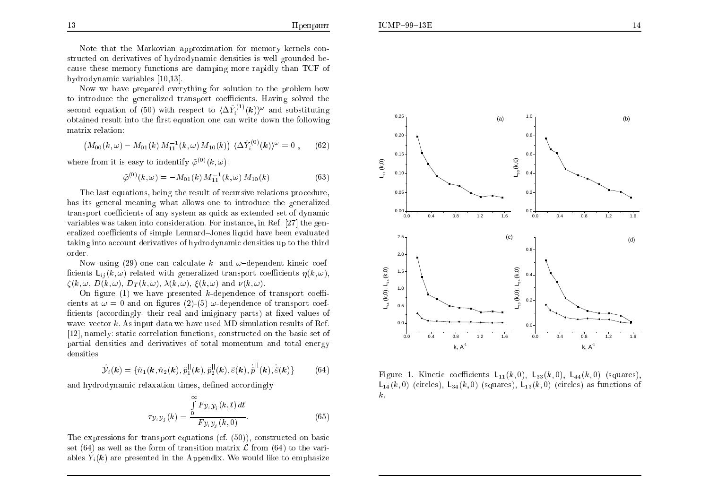Note that the Markovian approximation for memory kernels constructed on derivatives of hydrodynamic densities is well grounded because these memory functions are damping more rapidly than TCF of hydrodynamic variables [10,13].

Now we have prepared everything for solution to the problem how to introduce the generalized transport coefficients. Having solved the second equation of (50) with respect to  $\langle \Delta \hat{Y}_{i}^{(1)}(\mathbf{k}) \rangle^{\omega}$  and substituting obtained result into the first equation one can write down the following matrix relation:

$$
\left(M_{00}(k,\omega) - M_{01}(k) M_{11}^{-1}(k,\omega) M_{10}(k)\right) \langle \Delta \hat{Y}_i^{(0)}(\mathbf{k}) \rangle^{\omega} = 0 , \qquad (62)
$$

where from it is easy to indentify  $\tilde{\varphi}^{(0)}(k,\omega)$ :

$$
\tilde{\varphi}^{(0)}(k,\omega) = -M_{01}(k) M_{11}^{-1}(k,\omega) M_{10}(k).
$$
 (63)

 $\sim 10$ 

The last equations, being the result of recursive relations procedure, has its general meaning what allows one to introduce the generalized transport coefficients of any system as quick as extended set of dynamic variables was taken into consideration. For instance, in Ref. [27] the generalized coefficients of simple Lennard–Jones liquid have been evaluated taking into account derivatives of hydrodynamic densities up to the third order.

Now using (29) one can calculate k- and  $\omega$ -dependent kineic coefficients  $L_{ii}(k,\omega)$  related with generalized transport coefficients  $\eta(k,\omega)$ .  $\zeta(k,\omega, D(k,\omega), D_T(k,\omega), \lambda(k,\omega), \xi(k,\omega)$  and  $\nu(k,\omega)$ .

On figure (1) we have presented k-dependence of transport coefficients at  $\omega = 0$  and on figures (2)-(5)  $\omega$ -dependence of transport coefficients (accordingly-their real and imiginary parts) at fixed values of wave-vector  $k$ . As input data we have used MD simulation results of Ref. [12], namely: static correlation functions, constructed on the basic set of partial densities and derivatives of total momentum and total energy densities

$$
\hat{\mathcal{Y}}_i(\mathbf{k}) = \{\hat{n}_1(\mathbf{k}, \hat{n}_2(\mathbf{k}), \hat{p}_1^{||}(\mathbf{k}), \hat{p}_2^{||}(\mathbf{k}), \hat{\varepsilon}(\mathbf{k}), \dot{\hat{p}}^{||}(\mathbf{k}), \dot{\hat{\varepsilon}}(\mathbf{k})\}\
$$
(64)

and hydrodynamic relaxation times, defined accordingly

$$
\tau_{\mathcal{Y}_i\mathcal{Y}_j}(k) = \frac{\int\limits_0^\infty F_{\mathcal{Y}_i\mathcal{Y}_j}(k,t) dt}{F_{\mathcal{Y}_i\mathcal{Y}_j}(k,0)}.
$$
\n(65)

The expressions for transport equations (cf.  $(50)$ ), constructed on basic set (64) as well as the form of transition matrix  $\mathcal L$  from (64) to the variables  $\hat{Y}_i(\mathbf{k})$  are presented in the Appendix. We would like to emphasize





Figure 1. Kinetic coefficients  $L_{11}(k,0)$ ,  $L_{33}(k,0)$ ,  $L_{44}(k,0)$  (squares).  $L_{14}(k,0)$  (circles),  $L_{34}(k,0)$  (squares),  $L_{13}(k,0)$  (circles) as functions of  $k$ .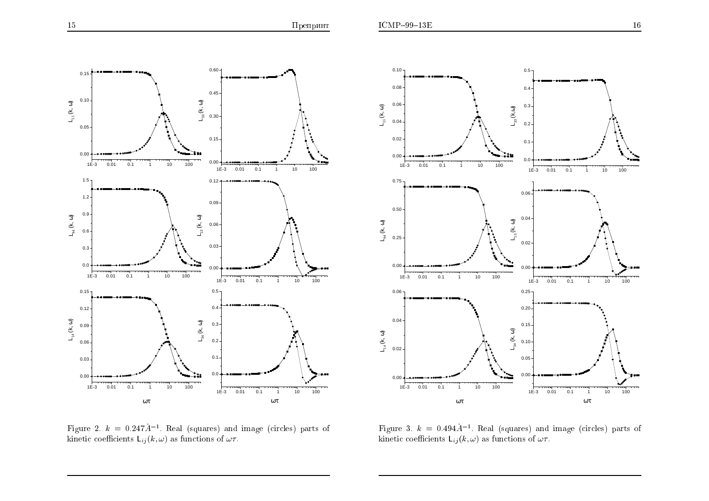





Figure 3.  $k = 0.494 \text{Å}^{-1}$ . Real (squares) and image (circles) parts of kinetic coefficients  $\mathsf{L}_{ij}(k,\omega)$  as functions of  $\omega\tau$ .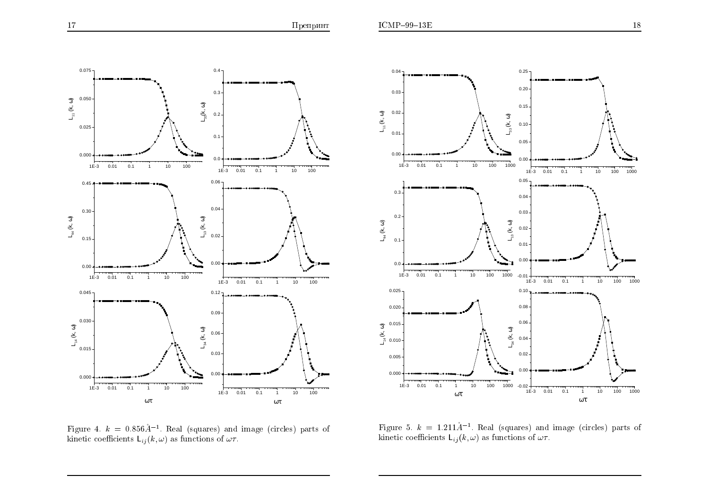



Figure 5.  $k = 1.211 \AA^{-1}$ . Real (squares) and image (circles) parts of kinetic coefficients  $L_{ij}(k,\omega)$  as functions of  $\omega\tau$ .

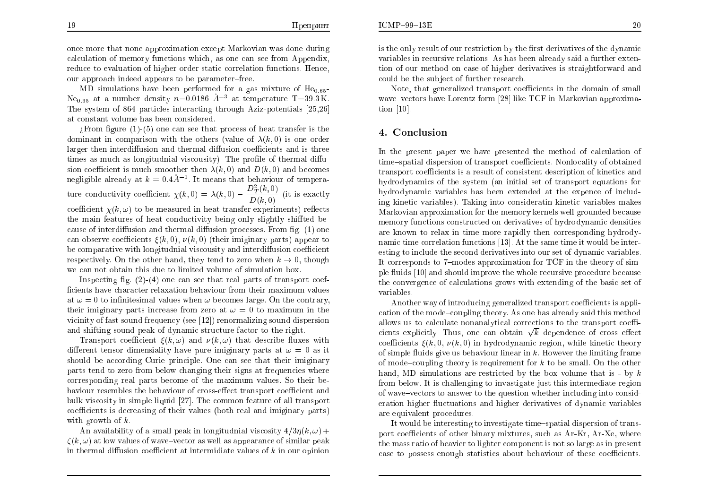$ICMP-99-13E$ 

once more that none approximation except Markovian was done during calculation of memory functions which, as one can see from Appendix, reduce to evaluation of higher order static correlation functions. Hence, our approach indeed appears to be parameter-free.

MD simulations have been performed for a gas mixture of  $He<sub>0.65</sub>$ Ne<sub>0.35</sub> at a number density  $n=0.0186$   $\AA^{-3}$  at temperature T=39.3K. The system of 864 particles interacting through Aziz-potentials [25.26] at constant volume has been considered.

 $E$ : From figure (1)-(5) one can see that process of heat transfer is the dominant in comparison with the others (value of  $\lambda(k,0)$  is one order larger then interdiffusion and thermal diffusion coefficients and is three times as much as longitudnial viscousity). The profile of thermal diffusion coefficient is much smoother then  $\lambda(k,0)$  and  $D(k,0)$  and becomes negligible already at  $k = 0.4\AA^{-1}$ . It means that behaviour of temperature conductivity coefficient  $\chi(k,0) = \lambda(k,0) - \frac{D_T^2(k,0)}{D(k,0)}$  (it is exactly coefficient  $\chi(k,\omega)$  to be measured in heat transfer experiments) reflects the main features of heat conductivity being only slightly shiffted because of interdiffusion and thermal diffusion processes. From fig. (1) one can observe coefficients  $\xi(k,0)$ ,  $\nu(k,0)$  (their imiginary parts) appear to be comparative with longitudnial viscousity and interdiffusion coefficient respectively. On the other hand, they tend to zero when  $k \to 0$ , though we can not obtain this due to limited volume of simulation box.

Inspecting fig.  $(2)-(4)$  one can see that real parts of transport coefficients have character relaxation behaviour from their maximum values at  $\omega = 0$  to infinitesimal values when  $\omega$  becomes large. On the contrary, their imiginary parts increase from zero at  $\omega = 0$  to maximum in the vicinity of fast sound frequency (see [12]) renormalizing sound dispersion and shifting sound peak of dynamic structure factor to the right.

Transport coefficient  $\xi(k,\omega)$  and  $\nu(k,\omega)$  that describe fluxes with different tensor dimensiality have pure imiginary parts at  $\omega = 0$  as it should be according Curie principle. One can see that their imiginary parts tend to zero from below changing their signs at frequencies where corresponding real parts become of the maximum values. So their behaviour resembles the behaviour of cross-effect transport coefficient and bulk viscosity in simple liquid [27]. The common feature of all transport coefficients is decreasing of their values (both real and imiginary parts) with growth of  $k$ .

An availability of a small peak in longitudnial viscosity  $4/3\eta(k,\omega)$  +  $\zeta(k,\omega)$  at low values of wave-vector as well as appearance of similar peak in thermal diffusion coefficient at intermidiate values of  $k$  in our opinion is the only result of our restriction by the first derivatives of the dynamic variables in recursive relations. As has been already said a further extention of our method on case of higher derivatives is straightforward and could be the subject of further research.

Note, that generalized transport coefficients in the domain of small wave-vectors have Lorentz form [28] like TCF in Markovian approximation  $[10]$ .

### 4. Conclusion

In the present paper we have presented the method of calculation of time-spatial dispersion of transport coefficients. Nonlocality of obtained transport coefficients is a result of consistent description of kinetics and hydrodynamics of the system (an initial set of transport equations for hydrodynamic variables has been extended at the expence of including kinetic variables). Taking into consideratin kinetic variables makes Markovian approximation for the memory kernels well grounded because memory functions constructed on derivatives of hydrodynamic densities are known to relax in time more rapidly then corresponding hydrodynamic time correlation functions [13]. At the same time it would be interesting to include the second derivatives into our set of dynamic variables. It corresponds to 7-modes approximation for TCF in the theory of simple fluids [10] and should improve the whole recursive procedure because the convergence of calculations grows with extending of the basic set of variables.

Another way of introducing generalized transport coefficients is application of the mode-coupling theory. As one has already said this method allows us to calculate nonanalytical corrections to the transport coefficients explicitly. Thus, one can obtain  $\sqrt{k}$ -dependence of cross-effect coefficients  $\xi(k,0,\nu(k,0))$  in hydrodynamic region, while kinetic theory of simple fluids give us behaviour linear in  $k$ . However the limiting frame of mode-coupling theory is requirement for  $k$  to be small. On the other hand, MD simulations are restricted by the box volume that is - by  $k$ from below. It is challenging to invastigate just this intermediate region of wave-vectors to answer to the question whether including into consideration higher fluctuations and higher derivatives of dynamic variables are equivalent procedures.

It would be interesting to investigate time-spatial dispersion of transport coefficients of other binary mixtures, such as Ar-Kr, Ar-Xe, where the mass ratio of heavier to lighter component is not so large as in present case to possess enough statistics about behaviour of these coefficients.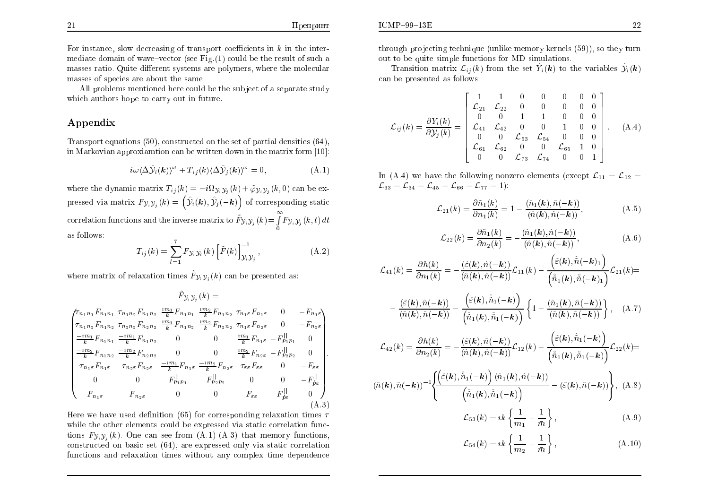$ICMP-99-13E$ 

All problems mentioned here could be the subject of a separate study which authors hope to carry out in future.

#### Appendix

Transport equations  $(50)$ , constructed on the set of partial densities  $(64)$ , in Markovian approxiantion can be written down in the matrix form  $[10]$ :

$$
i\omega \langle \Delta \hat{\mathcal{Y}}_i(\boldsymbol{k}) \rangle^{\omega} + T_{ij}(k) \langle \Delta \hat{\mathcal{Y}}_j(\boldsymbol{k}) \rangle^{\omega} = 0, \tag{A.1}
$$

where the dynamic matrix  $T_{ij}(k) = -i\Omega_{\mathcal{Y}_i\mathcal{Y}_j}(k) + \tilde{\varphi}_{\mathcal{Y}_i\mathcal{Y}_j}(k,0)$  can be expressed via matrix  $F_{\mathcal{Y}_i \mathcal{Y}_j}(k) = (\hat{\mathcal{Y}}_i(k), \hat{\mathcal{Y}}_j(-k))$  of corresponding static correlation functions and the inverse matrix to  $\tilde{F}_{y_i y_j}(k) = \int_{0}^{\infty} F_{y_i y_j}(k, t) dt$ as follows:

$$
T_{ij}(k) = \sum_{l=1}^{i} F_{\mathcal{Y}_{i}\mathcal{Y}_{l}}(k) \left[ \tilde{F}(k) \right]_{\mathcal{Y}_{l}\mathcal{Y}_{j}}^{-1}, \qquad (A.2)
$$

where matrix of relaxation times  $\tilde{F}_{\gamma_i,\gamma_j}(k)$  can be presented as:  $\tilde{E}$ 

$$
F_{\mathcal{Y}_{i}\mathcal{Y}_{j}}(\kappa) =
$$
\n
$$
\begin{pmatrix}\n\tau_{n_{1}n_{1}} F_{n_{1}n_{1}} & \tau_{n_{1}n_{2}} F_{n_{1}n_{2}} & \frac{i m_{1}}{k} F_{n_{1}n_{1}} & \frac{i m_{2}}{k} F_{n_{1}n_{2}} & \tau_{n_{1} \varepsilon} F_{n_{1} \varepsilon} & 0 & -F_{n_{1} \varepsilon} \\
\tau_{n_{1}n_{2}} F_{n_{1}n_{2}} & \tau_{n_{2}n_{2}} F_{n_{2}n_{2}} & \frac{i m_{1}}{k} F_{n_{1}n_{2}} & \frac{i m_{2}}{k} F_{n_{2}n_{2}} & \tau_{n_{1} \varepsilon} F_{n_{2} \varepsilon} & 0 & -F_{n_{2} \varepsilon} \\
\frac{-i m_{1}}{k} F_{n_{1}n_{1}} & \frac{-i m_{1}}{k} F_{n_{1}n_{2}} & 0 & 0 & \frac{i m_{1}}{k} F_{n_{1} \varepsilon} & -F_{p_{1}p_{1}}^{||} & 0 \\
\frac{-i m_{2}}{k} F_{n_{1}n_{2}} & \frac{-i m_{2}}{k} F_{n_{2}n_{2}} & 0 & 0 & \frac{i m_{2}}{k} F_{n_{2} \varepsilon} & -F_{p_{2}p_{2}}^{||} & 0 \\
\tau_{n_{1} \varepsilon} F_{n_{1} \varepsilon} & \tau_{n_{2} \varepsilon} F_{n_{2} \varepsilon} & \frac{-i m_{1}}{k} F_{n_{1} \varepsilon} & \frac{-i m_{2}}{k} F_{n_{2} \varepsilon} & \tau_{\varepsilon \varepsilon} F_{\varepsilon \varepsilon} & 0 & -F_{\varepsilon \varepsilon} \\
0 & 0 & F_{p_{1}p_{1}}^{||} & F_{p_{2}p_{2}}^{||} & 0 & 0 & -F_{p \varepsilon}^{||} \\
F_{n_{1} \varepsilon} & F_{n_{1} \varepsilon} & 0 & 0 & F_{\varepsilon \varepsilon} & F_{p \varepsilon}^{||} & 0 \\
F_{n_{1} \varepsilon} & F_{n_{2} \varepsilon} & 0 & 0 & F_{\varepsilon \varepsilon} & F_{p \
$$

 $\left( \frac{1}{2} \right)$ 

Here we have used definition (65) for corresponding relaxation times  $\tau$ while the other elements could be expressed via static correlation functions  $F_{\mathcal{Y},\mathcal{Y}_i}(k)$ . One can see from  $(A.1)-(A.3)$  that memory functions, constructed on basic set  $(64)$ , are expressed only via static correlation functions and relaxation times without any complex time dependence

Transition matrix  $\mathcal{L}_{ii}(k)$  from the set  $\hat{Y}_i(k)$  to the variables  $\hat{\mathcal{Y}}_i(k)$ can be presented as follows:

$$
\mathcal{L}_{ij}(k) = \frac{\partial Y_i(k)}{\partial \mathcal{Y}_j(k)} = \begin{bmatrix} 1 & 1 & 0 & 0 & 0 & 0 & 0 \\ \mathcal{L}_{21} & \mathcal{L}_{22} & 0 & 0 & 0 & 0 & 0 \\ 0 & 0 & 1 & 1 & 0 & 0 & 0 \\ \mathcal{L}_{41} & \mathcal{L}_{42} & 0 & 0 & 1 & 0 & 0 \\ 0 & 0 & \mathcal{L}_{53} & \mathcal{L}_{54} & 0 & 0 & 0 \\ \mathcal{L}_{61} & \mathcal{L}_{62} & 0 & 0 & \mathcal{L}_{65} & 1 & 0 \\ 0 & 0 & \mathcal{L}_{73} & \mathcal{L}_{74} & 0 & 0 & 1 \end{bmatrix}.
$$
 (A.4)

In (A.4) we have the following nonzero elements (except  $\mathcal{L}_{11} = \mathcal{L}_{12}$  $\mathcal{L}_{33} = \mathcal{L}_{34} = \mathcal{L}_{45} = \mathcal{L}_{66} = \mathcal{L}_{77} = 1$ :

$$
\mathcal{L}_{21}(k) = \frac{\partial \tilde{n}_1(k)}{\partial n_1(k)} = 1 - \frac{(\hat{n}_1(k), \hat{n}(-k))}{(\hat{n}(k), \hat{n}(-k))},
$$
\n(A.5)

$$
\mathcal{L}_{22}(k) = \frac{\partial \tilde{n}_1(k)}{\partial n_2(k)} = -\frac{(\hat{n}_1(k), \hat{n}(-k))}{(\hat{n}(k), \hat{n}(-k))},\tag{A.6}
$$

$$
\mathcal{L}_{41}(k)=\frac{\partial h(k)}{\partial n_1(k)}=-\frac{(\hat{\varepsilon}(\boldsymbol{k}),\hat{n}(-\boldsymbol{k}))}{(\hat{n}(\boldsymbol{k}),\hat{n}(-\boldsymbol{k}))}\mathcal{L}_{11}(k)-\frac{\left(\hat{\varepsilon}(\boldsymbol{k}),\hat{\hat{n}}(-\boldsymbol{k})_1\right)}{\left(\hat{\tilde{n}}_1(\boldsymbol{k}),\hat{\tilde{n}}(-\boldsymbol{k})_1\right)}\mathcal{L}_{21}(k)\!\!=\!\!
$$

$$
-\frac{\left(\hat{\varepsilon}(\mathbf{k}),\hat{n}(-\mathbf{k})\right)}{\left(\hat{n}(\mathbf{k}),\hat{n}(-\mathbf{k})\right)}-\frac{\left(\hat{\varepsilon}(\mathbf{k}),\hat{\tilde{n}}_1(-\mathbf{k})\right)}{\left(\hat{\tilde{n}}_1(\mathbf{k}),\hat{\tilde{n}}_1(-\mathbf{k})\right)}\left\{1-\frac{\left(\hat{n}_1(\mathbf{k}),\hat{n}(-\mathbf{k})\right)}{\left(\hat{n}(\mathbf{k}),\hat{n}(-\mathbf{k})\right)}\right\},\quad\text{(A.7)}
$$

$$
\mathcal{L}_{42}(k) = \frac{\partial h(k)}{\partial n_2(k)} = -\frac{(\hat{\varepsilon}(\mathbf{k}), \hat{n}(-\mathbf{k}))}{(\hat{n}(\mathbf{k}), \hat{n}(-\mathbf{k}))} \mathcal{L}_{12}(k) - \frac{\left(\hat{\varepsilon}(\mathbf{k}), \hat{\tilde{n}}_1(-\mathbf{k})\right)}{\left(\hat{\tilde{n}}_1(\mathbf{k}), \hat{\tilde{n}}_1(-\mathbf{k})\right)} \mathcal{L}_{22}(k) =
$$
\n
$$
(\hat{n}(\mathbf{k}), \hat{n}(-\mathbf{k}))^{-1} \left\{ \frac{\left(\hat{\varepsilon}(\mathbf{k}), \hat{\tilde{n}}_1(-\mathbf{k})\right) (\hat{n}_1(\mathbf{k}), \hat{n}(-\mathbf{k}))}{\left(\hat{\tilde{n}}_1(\mathbf{k}), \hat{\tilde{n}}_1(-\mathbf{k})\right)} - (\hat{\varepsilon}(\mathbf{k}), \hat{n}(-\mathbf{k})) \right\}, \quad \text{(A.8)}
$$

$$
\mathcal{L}_{53}(k) = ik \left\{ \frac{1}{m_1} - \frac{1}{\bar{m}} \right\},\tag{A.9}
$$

$$
\mathcal{L}_{54}(k) = ik \left\{ \frac{1}{m_2} - \frac{1}{\bar{m}} \right\},\tag{A.10}
$$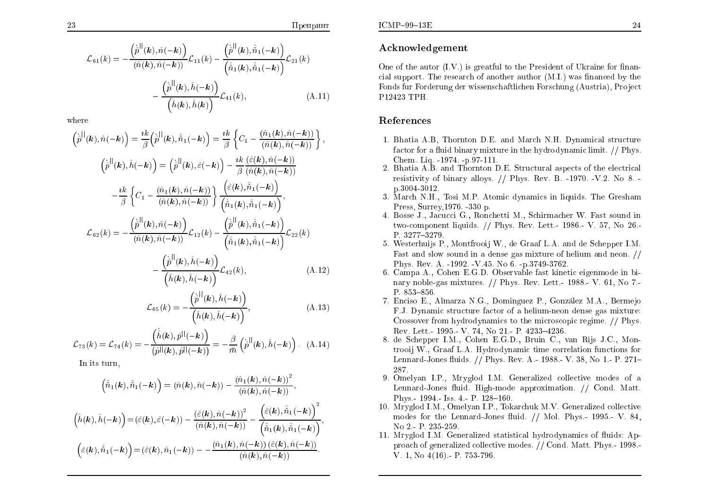$$
\mathcal{L}_{61}(k) = -\frac{\left(\dot{\hat{p}}^{||}(\mathbf{k}), \hat{n}(-\mathbf{k})\right)}{(\hat{n}(\mathbf{k}), \hat{n}(-\mathbf{k}))} \mathcal{L}_{11}(k) - \frac{\left(\dot{\hat{p}}^{||}(\mathbf{k}), \hat{\hat{n}}_{1}(-\mathbf{k})\right)}{\left(\hat{\hat{n}}_{1}(\mathbf{k}), \hat{\hat{n}}_{1}(-\mathbf{k})\right)} \mathcal{L}_{21}(k) - \frac{\left(\dot{\hat{p}}^{||}(\mathbf{k}), \hat{h}(-\mathbf{k})\right)}{\left(\hat{h}(\mathbf{k}), \hat{h}(\mathbf{k})\right)} \mathcal{L}_{41}(k), \tag{A.11}
$$

where

$$
\begin{split}\n\left(\dot{\hat{p}}^{||}(\mathbf{k}),\hat{n}(-\mathbf{k})\right) &= \frac{i k}{\beta} \left(\dot{\hat{p}}^{||}(\mathbf{k}),\hat{\hat{n}}_1(-\mathbf{k})\right) = \frac{i k}{\beta} \left\{C_1 - \frac{(\hat{n}_1(\mathbf{k}),\hat{n}(-\mathbf{k}))}{(\hat{n}(\mathbf{k}),\hat{n}(-\mathbf{k}))}\right\}, \\
\left(\dot{\hat{p}}^{||}(\mathbf{k}),\hat{h}(-\mathbf{k})\right) &= \left(\dot{\hat{p}}^{||}(\mathbf{k}),\hat{\varepsilon}(-\mathbf{k})\right) - \frac{i k}{\beta} \frac{(\hat{\varepsilon}(\mathbf{k}),\hat{n}(-\mathbf{k}))}{(\hat{n}(\mathbf{k}),\hat{n}(-\mathbf{k}))} \\
&- \frac{i k}{\beta} \left\{C_1 - \frac{(\hat{n}_1(\mathbf{k}),\hat{n}(-\mathbf{k}))}{(\hat{n}(\mathbf{k}),\hat{n}(-\mathbf{k}))}\right\} \frac{\left(\hat{\varepsilon}(\mathbf{k}),\hat{\hat{n}}_1(-\mathbf{k})\right)}{\left(\hat{\hat{n}}_1(\mathbf{k}),\hat{\hat{n}}_1(-\mathbf{k})\right)}, \\
\mathcal{L}_{62}(k) &= -\frac{\left(\dot{\hat{p}}^{||}(\mathbf{k}),\hat{n}(-\mathbf{k})\right)}{(\hat{n}(\mathbf{k}),\hat{n}(-\mathbf{k}))} \mathcal{L}_{12}(k) - \frac{\left(\dot{\hat{p}}^{||}(\mathbf{k}),\hat{\hat{n}}_1(-\mathbf{k})\right)}{\left(\hat{\hat{n}}_1(\mathbf{k}),\hat{\hat{n}}_1(-\mathbf{k})\right)} \mathcal{L}_{22}(k) \\
& \left(\dot{\hat{p}}^{||}(\mathbf{k}),\hat{h}(-\mathbf{k})\right) \mathcal{L}_{12}(k) - \frac{\left(\dot{\hat{p}}^{||}(\mathbf{k}),\hat{\hat{n}}_1(-\mathbf{k})\right)}{\left(\hat{\hat{n}}_1(\mathbf{k}),\hat{\hat{n}}_1(-\mathbf{k})\right)} \mathcal{L}_{22}(k)\n\end{split}
$$

$$
\frac{\left(\hat{h}(\mathbf{k}), \hat{h}(-\mathbf{k})\right)}{\left(\hat{h}(\mathbf{k}), \hat{h}(-\mathbf{k})\right)} \mathcal{L}_{42}(k),\tag{A.12}
$$

$$
\mathcal{L}_{65}(k) = -\frac{\left(\dot{\hat{p}}^{||}(\mathbf{k}), \hat{h}(-\mathbf{k})\right)}{\left(\hat{h}(\mathbf{k}), \hat{h}(-\mathbf{k})\right)},
$$
\n(A.13)

$$
\mathcal{L}_{73}(k) = \mathcal{L}_{74}(k) = -\frac{\left(\dot{\hat{h}}(\mathbf{k}), \hat{p}^{||}(-\mathbf{k})\right)}{\left(\hat{p}^{||}(\mathbf{k}), \hat{p}^{||}(-\mathbf{k})\right)} = -\frac{\beta}{\bar{m}}\left(\dot{p}^{||}(\mathbf{k}), \hat{h}(-\mathbf{k})\right). \quad (A.14)
$$

In its turn,

$$
\left(\hat{\tilde{n}}_1(\mathbf{k}),\hat{\tilde{n}}_1(-\mathbf{k})\right) = \left(\hat{n}(\mathbf{k}),\hat{n}(-\mathbf{k})\right) - \frac{\left(\hat{n}_1(\mathbf{k}),\hat{n}(-\mathbf{k})\right)^2}{\left(\hat{n}(\mathbf{k}),\hat{n}(-\mathbf{k})\right)},
$$
\n
$$
\left(\hat{h}(\mathbf{k}),\hat{h}(-\mathbf{k})\right) = \left(\hat{\varepsilon}(\mathbf{k}),\hat{\varepsilon}(-\mathbf{k})\right) - \frac{\left(\hat{\varepsilon}(\mathbf{k}),\hat{n}(-\mathbf{k})\right)^2}{\left(\hat{n}(\mathbf{k}),\hat{n}(-\mathbf{k})\right)} - \frac{\left(\hat{\varepsilon}(\mathbf{k}),\hat{n}_1(-\mathbf{k})\right)^2}{\left(\hat{\tilde{n}}_1(\mathbf{k}),\hat{\tilde{n}}_1(-\mathbf{k})\right)},
$$
\n
$$
\left(\hat{\varepsilon}(\mathbf{k}),\hat{\tilde{n}}_1(-\mathbf{k})\right) = \left(\hat{\varepsilon}(\mathbf{k}),\hat{n}_1(-\mathbf{k})\right) - \frac{\left(\hat{n}_1(\mathbf{k}),\hat{n}(-\mathbf{k})\right)\left(\hat{\varepsilon}(\mathbf{k}),\hat{n}(-\mathbf{k})\right)}{\left(\hat{n}(\mathbf{k}),\hat{n}(-\mathbf{k})\right)}.
$$

## Acknowledgement

One of the autor (I.V.) is greatful to the President of Ukraine for financial support. The research of another author (M.I.) was financed by the Fonds fur Forderung der wissenschaftlichen Forschung (Austria), Project P12423 TPH.

#### References

- 1. Bhatia A.B, Thornton D.E. and March N.H. Dynamical structure factor for a fluid binary mixture in the hydrodynamic limit. // Phys. Chem. Lig. -1974. -p.97-111.
- 2. Bhatia A.B. and Thornton D.E. Structural aspects of the electrical resistivity of binary alloys. // Phys. Rev. B. -1970. -V.2. No 8. p. 3004-3012.
- 3. March N.H., Tosi M.P. Atomic dynamics in liquids. The Gresham Press. Surrey.1976. -330 p.
- 4. Bosse J., Jacucci G., Ronchetti M., Schirmacher W. Fast sound in two-component liquids.  $//$  Phys. Rev. Lett. 1986. V. 57, No 26. P. 3277-3279
- 5. Westerhuijs P., Montfrooij W., de Graaf L.A. and de Schepper I.M. Fast and slow sound in a dense gas mixture of helium and neon. // Phys. Rev. A. -1992. -V.45. No 6. -p.3749-3762.
- 6. Campa A., Cohen E.G.D. Observable fast kinetic eigenmode in binary noble-gas mixtures.  $//$  Phys. Rev. Lett. 1988. V. 61, No 7. P. 853-856.
- 7. Enciso E., Almarza N.G., Dominguez P., González M.A., Bermejo F.J. Dynamic structure factor of a helium-neon dense gas mixture: Crossover from hydrodynamics to the microscopic regime. // Phys. Rev. Lett. 1995 - V. 74, No 21, P. 4233-4236.
- 8. de Schepper I.M., Cohen E.G.D., Bruin C., van Rijs J.C., Montrooij W., Graaf L.A. Hydrodynamic time correlation functions for Lennard-Jones fluids. // Phys. Rev. A. - 1988. - V. 38, No 1. - P. 271-287
- 9. Omelyan I.P., Mryglod I.M. Generalized collective modes of a Lennard-Jones fluid. High-mode approximation. // Cond. Matt. Phys.  $1994 - 1$ ss.  $4 - P$ .  $128 - 160$ .
- 10. Mryglod I.M., Omelyan I.P., Tokarchuk M.V. Generalized collective modes for the Lennard-Jones fluid. // Mol. Phys. 1995. V. 84, No 2 - P. 235-259.
- 11. Mryglod I.M. Generalized statistical hydrodynamics of fluids: Approach of generalized collective modes. // Cond. Matt. Phys. - 1998. V. 1, No  $4(16)$  - P. 753-796.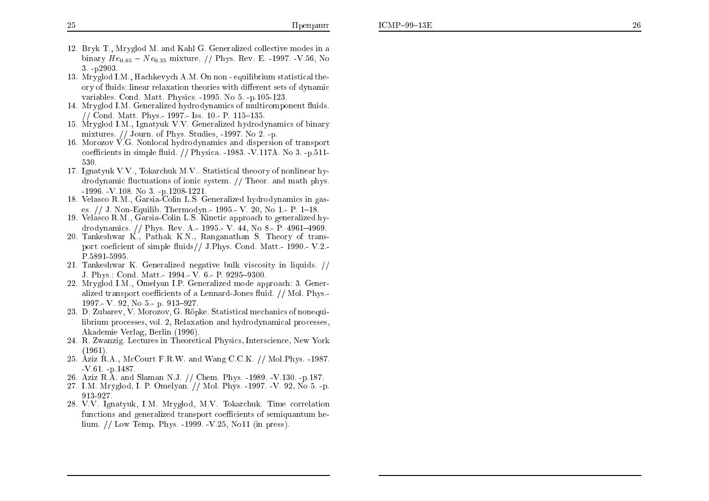- 12. Bryk T., Mryglod M. and Kahl G. Generalized collective modes in a binary  $He_{0.65} - Ne_{0.35}$  mixture. // Phys. Rev. E. -1997. -V.56, No  $3 - p2903$
- 13. Mrvglod I.M., Hachkeyvch A.M. On non equilibrium statistical theory of fluids: linear relaxation theories with different sets of dynamic variables. Cond. Matt. Physics. -1995. No 5. -p.105-123.
- 14. Mryglod I.M. Generalized hydrodynamics of multicomponent fluids. // Cond. Matt. Phys. - 1997. - Iss. 10. - P. 115–135.
- 15. Mryglod I.M., Ignatyuk V.V. Generalized hydrodynamics of binary mixtures.  $//$  Journ. of Phys. Studies, -1997. No 2. -p.
- 16. Morozov  $\dot{V}$ . G. Nonlocal hydrodynamics and dispersion of transport coefficients in simple fluid.  $// Physica. -1983. -V.117A. No. 3. -p.511-$ 530.
- 17. Ignatyuk V.V., Tokarchuk M.V., Statistical theory of nonlinear hydrodynamic fluctuations of ionic system. // Theor. and math phys.  $-1996$   $-V.108$ . No 3.  $-p.1208-1221$ .
- 18. Velasco R.M., Garsia-Colin L.S. Generalized hydrodynamics in gases. // J. Non-Equilib. Thermodyn.- 1995.- V. 20. No 1.- P. 1–18.
- 19. Velasco R.M., Garsia-Colin L.S. Kinetic approach to generalized hydrodynamics. // Phys. Rev. A.- 1995.- V. 44, No 8.- P. 4961-4969.
- 20. Tankeshwar K., Pathak K.N., Ranganathan S. Theory of transport coeficient of simple fluids// J.Phys. Cond. Matt. 1990. V.2. P.5891-5995.
- 21. Tankeshwar K. Generalized negative bulk viscosity in liquids. // J. Phys.: Cond. Matt. 1994 - V. 6 - P. 9295-9300.
- 22. Mryglod I.M., Omelyan I.P. Generalized mode approach: 3. Generalized transport coefficients of a Lennard-Jones fluid. // Mol. Phys.-1997 - V 92, No 5 - p 913-927.
- 23. D. Zubarev, V. Morozov, G. Röpke. Statistical mechanics of nonequilibrium processes, vol. 2, Relaxation and hydrodynamical processes, Akademie Verlag, Berlin (1996).
- 24. R. Zwanzig. Lectures in Theoretical Physics, Interscience, New York  $(1961).$
- 25. Aziz R.A., McCourt F.R.W. and Wang C.C.K. // Mol. Phys. -1987.  $-V.61. -D.1487.$
- 26. Aziz R.A. and Slaman N.J. // Chem. Phys. -1989. -V.130. -p.187.
- 27. I.M. Mryglod, I. P. Omelyan. // Mol. Phys. -1997. -V. 92, No 5. -p. 913-927.
- 28. V.V. Ignatyuk, I.M. Mryglod, M.V. Tokarchuk. Time correlation functions and generalized transport coefficients of semiquantum helium.  $//$  Low Temp. Phys. -1999. -V.25, No11 (in press).